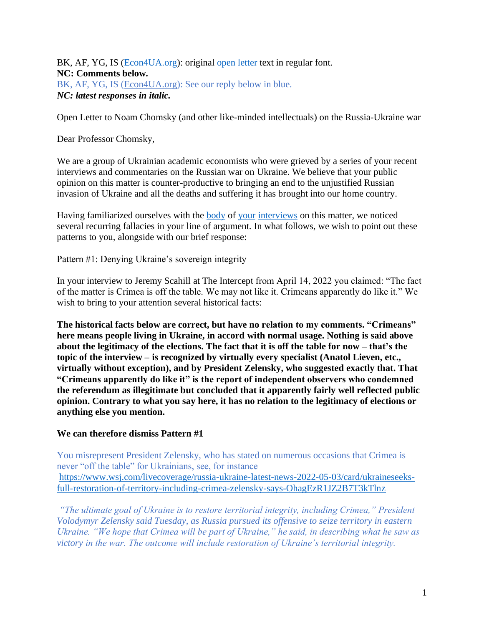BK, AF, YG, IS [\(Econ4UA.org\)](https://econ4ua.org/): original [open letter](https://voxukraine.org/en/open-letter-to-noam-chomsky-and-other-like-minded-intellectuals-on-the-russia-ukraine-war/) text in regular font. **NC: Comments below.**  BK, AF, YG, IS [\(Econ4UA.org\)](https://econ4ua.org/): See our reply below in blue. *NC: latest responses in italic.*

Open Letter to Noam Chomsky (and other like-minded intellectuals) on the Russia-Ukraine war

Dear Professor Chomsky,

We are a group of Ukrainian academic economists who were grieved by a series of your recent interviews and commentaries on the Russian war on Ukraine. We believe that your public opinion on this matter is counter-productive to bringing an end to the unjustified Russian invasion of Ukraine and all the deaths and suffering it has brought into our home country.

Having familiarized ourselves with the **body** of [your](https://truthout.org/articles/noam-chomsky-us-military-escalation-against-russia-would-have-no-victors/) [interviews](https://theintercept.com/2022/04/14/russia-ukraine-noam-chomsky-jeremy-scahill/) on this matter, we noticed several recurring fallacies in your line of argument. In what follows, we wish to point out these patterns to you, alongside with our brief response:

Pattern #1: Denying Ukraine's sovereign integrity

In your interview to Jeremy Scahill at The Intercept from April 14, 2022 you claimed: "The fact of the matter is Crimea is off the table. We may not like it. Crimeans apparently do like it." We wish to bring to your attention several historical facts:

**The historical facts below are correct, but have no relation to my comments. "Crimeans" here means people living in Ukraine, in accord with normal usage. Nothing is said above about the legitimacy of the elections. The fact that it is off the table for now – that's the topic of the interview – is recognized by virtually every specialist (Anatol Lieven, etc., virtually without exception), and by President Zelensky, who suggested exactly that. That "Crimeans apparently do like it" is the report of independent observers who condemned the referendum as illegitimate but concluded that it apparently fairly well reflected public opinion. Contrary to what you say here, it has no relation to the legitimacy of elections or anything else you mention.** 

#### **We can therefore dismiss Pattern #1**

You misrepresent President Zelensky, who has stated on numerous occasions that Crimea is never "off the table" for Ukrainians, see, for instance [https://www.wsj.com/livecoverage/russia-ukraine-latest-news-2022-05-03/card/ukraineseeks](https://www.wsj.com/livecoverage/russia-ukraine-latest-news-2022-05-03/card/ukraineseeks-full-restoration-of-territory-including-crimea-zelensky-says-OhagEzR1JZ2B7T3kTlnz)[full-restoration-of-territory-including-crimea-zelensky-says-OhagEzR1JZ2B7T3kTlnz](https://www.wsj.com/livecoverage/russia-ukraine-latest-news-2022-05-03/card/ukraineseeks-full-restoration-of-territory-including-crimea-zelensky-says-OhagEzR1JZ2B7T3kTlnz)

*"The ultimate goal of Ukraine is to restore territorial integrity, including Crimea," President Volodymyr Zelensky said Tuesday, as Russia pursued its offensive to seize territory in eastern Ukraine. "We hope that Crimea will be part of Ukraine," he said, in describing what he saw as victory in the war. The outcome will include restoration of Ukraine's territorial integrity.*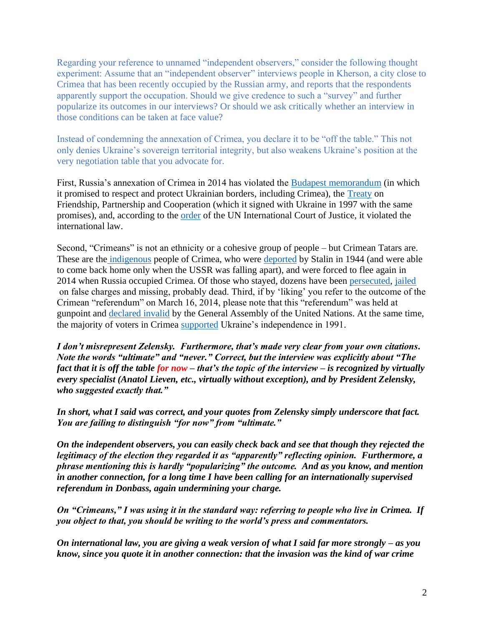Regarding your reference to unnamed "independent observers," consider the following thought experiment: Assume that an "independent observer" interviews people in Kherson, a city close to Crimea that has been recently occupied by the Russian army, and reports that the respondents apparently support the occupation. Should we give credence to such a "survey" and further popularize its outcomes in our interviews? Or should we ask critically whether an interview in those conditions can be taken at face value?

Instead of condemning the annexation of Crimea, you declare it to be "off the table." This not only denies Ukraine's sovereign territorial integrity, but also weakens Ukraine's position at the very negotiation table that you advocate for.

First, Russia's annexation of Crimea in 2014 has violated the [Budapest memorandum](https://treaties.un.org/doc/Publication/UNTS/Volume%203007/Part/volume-3007-I-52241.pdf) (in which it promised to respect and protect Ukrainian borders, including Crimea), the [Treaty](https://treaties.un.org/doc/Publication/UNTS/Volume%203007/Part/volume-3007-I-52240.pdf) on Friendship, Partnership and Cooperation (which it signed with Ukraine in 1997 with the same promises), and, according to the [order](https://news.un.org/en/story/2022/03/1114052) of the UN International Court of Justice, it violated the international law.

Second, "Crimeans" is not an ethnicity or a cohesive group of people – but Crimean Tatars are. These are the [indigenous](https://www.ohchr.org/sites/default/files/Documents/Issues/IPeoples/EMRIP/Call/CrimeanTatarResourceCentre.pdf) people of Crimea, who were [deported](https://en.wikipedia.org/wiki/Deportation_of_the_Crimean_Tatars) by Stalin in 1944 (and were able to come back home only when the USSR was falling apart), and were forced to flee again in 2014 when Russia occupied Crimea. Of those who stayed, dozens have been [persecuted,](https://www.hrw.org/news/2017/11/14/crimea-persecution-crimean-tatars-intensifies?gclid=Cj0KCQjw6pOTBhCTARIsAHF23fLowpai9X88cbgjBXDvyfgYPAfBMrQwOdW7Ts0f8JuHcswJsgE8RFYaAh2UEALw_wcB) [jailed](https://www.hrw.org/news/2021/10/26/russian-authorities-arrest-crimean-tatar-lawyer-while-representing-his-clients) on false charges and missing, probably dead. Third, if by 'liking' you refer to the outcome of the Crimean "referendum" on March 16, 2014, please note that this "referendum" was held at gunpoint and [declared invalid](https://en.wikipedia.org/wiki/United_Nations_General_Assembly_Resolution_68/262) by the General Assembly of the United Nations. At the same time, the majority of voters in Crimea [supported](https://en.wikipedia.org/wiki/1991_Ukrainian_independence_referendum) Ukraine's independence in 1991.

*I don't misrepresent Zelensky. Furthermore, that's made very clear from your own citations. Note the words "ultimate" and "never." Correct, but the interview was explicitly about "The fact that it is off the table for now – that's the topic of the interview – is recognized by virtually every specialist (Anatol Lieven, etc., virtually without exception), and by President Zelensky, who suggested exactly that."* 

*In short, what I said was correct, and your quotes from Zelensky simply underscore that fact. You are failing to distinguish "for now" from "ultimate."*

*On the independent observers, you can easily check back and see that though they rejected the legitimacy of the election they regarded it as "apparently" reflecting opinion. Furthermore, a phrase mentioning this is hardly "popularizing" the outcome. And as you know, and mention in another connection, for a long time I have been calling for an internationally supervised referendum in Donbass, again undermining your charge.*

*On "Crimeans," I was using it in the standard way: referring to people who live in Crimea. If you object to that, you should be writing to the world's press and commentators.*

*On international law, you are giving a weak version of what I said far more strongly – as you know, since you quote it in another connection: that the invasion was the kind of war crime*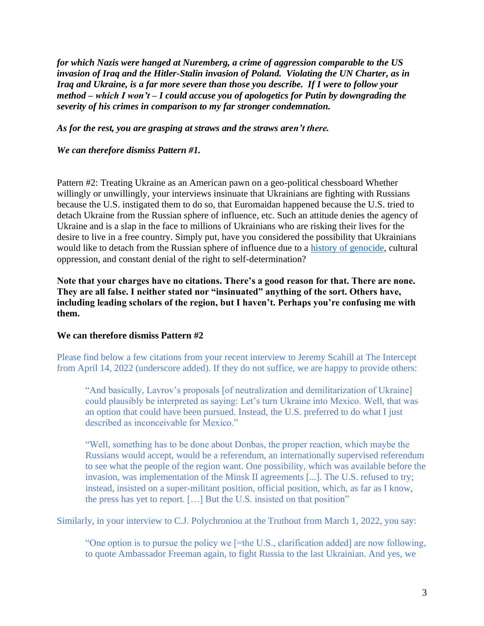*for which Nazis were hanged at Nuremberg, a crime of aggression comparable to the US invasion of Iraq and the Hitler-Stalin invasion of Poland. Violating the UN Charter, as in Iraq and Ukraine, is a far more severe than those you describe. If I were to follow your method – which I won't – I could accuse you of apologetics for Putin by downgrading the severity of his crimes in comparison to my far stronger condemnation.*

*As for the rest, you are grasping at straws and the straws aren't there.*

*We can therefore dismiss Pattern #1.*

Pattern #2: Treating Ukraine as an American pawn on a geo-political chessboard Whether willingly or unwillingly, your interviews insinuate that Ukrainians are fighting with Russians because the U.S. instigated them to do so, that Euromaidan happened because the U.S. tried to detach Ukraine from the Russian sphere of influence, etc. Such an attitude denies the agency of Ukraine and is a slap in the face to millions of Ukrainians who are risking their lives for the desire to live in a free country. Simply put, have you considered the possibility that Ukrainians would like to detach from the Russian sphere of influence due to a [history of genocide,](https://en.wikipedia.org/wiki/Holodomor) cultural oppression, and constant denial of the right to self-determination?

**Note that your charges have no citations. There's a good reason for that. There are none. They are all false. I neither stated nor "insinuated" anything of the sort. Others have, including leading scholars of the region, but I haven't. Perhaps you're confusing me with them.** 

#### **We can therefore dismiss Pattern #2**

Please find below a few citations from your recent interview to Jeremy Scahill at The Intercept from April 14, 2022 (underscore added). If they do not suffice, we are happy to provide others:

"And basically, Lavrov's proposals [of neutralization and demilitarization of Ukraine] could plausibly be interpreted as saying: Let's turn Ukraine into Mexico. Well, that was an option that could have been pursued. Instead, the U.S. preferred to do what I just described as inconceivable for Mexico."

"Well, something has to be done about Donbas, the proper reaction, which maybe the Russians would accept, would be a referendum, an internationally supervised referendum to see what the people of the region want. One possibility, which was available before the invasion, was implementation of the Minsk II agreements [...]. The U.S. refused to try; instead, insisted on a super-militant position, official position, which, as far as I know, the press has yet to report. […] But the U.S. insisted on that position"

Similarly, in your interview to C.J. Polychroniou at the Truthout from March 1, 2022, you say:

"One option is to pursue the policy we [=the U.S., clarification added] are now following, to quote Ambassador Freeman again, to fight Russia to the last Ukrainian. And yes, we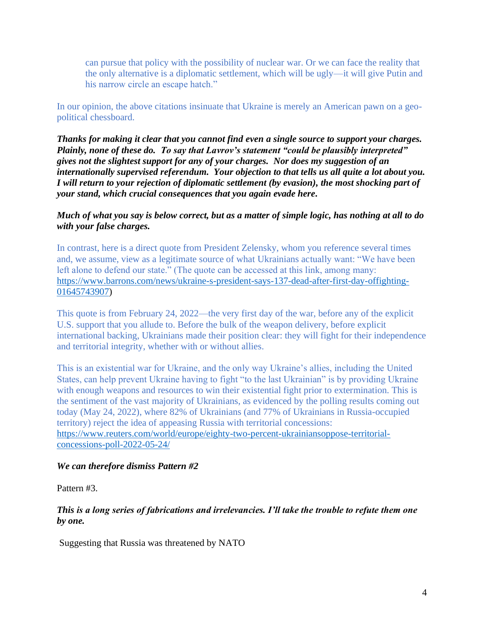can pursue that policy with the possibility of nuclear war. Or we can face the reality that the only alternative is a diplomatic settlement, which will be ugly—it will give Putin and his narrow circle an escape hatch."

In our opinion, the above citations insinuate that Ukraine is merely an American pawn on a geopolitical chessboard.

*Thanks for making it clear that you cannot find even a single source to support your charges. Plainly, none of these do. To say that Lavrov's statement "could be plausibly interpreted" gives not the slightest support for any of your charges. Nor does my suggestion of an internationally supervised referendum. Your objection to that tells us all quite a lot about you. I will return to your rejection of diplomatic settlement (by evasion), the most shocking part of your stand, which crucial consequences that you again evade here.*

*Much of what you say is below correct, but as a matter of simple logic, has nothing at all to do with your false charges.*

In contrast, here is a direct quote from President Zelensky, whom you reference several times and, we assume, view as a legitimate source of what Ukrainians actually want: "We have been left alone to defend our state." (The quote can be accessed at this link, among many: [https://www.barrons.com/news/ukraine-s-president-says-137-dead-after-first-day-offighting-](https://www.barrons.com/news/ukraine-s-president-says-137-dead-after-first-day-offighting-01645743907)[01645743907\)](https://www.barrons.com/news/ukraine-s-president-says-137-dead-after-first-day-offighting-01645743907)

This quote is from February 24, 2022—the very first day of the war, before any of the explicit U.S. support that you allude to. Before the bulk of the weapon delivery, before explicit international backing, Ukrainians made their position clear: they will fight for their independence and territorial integrity, whether with or without allies.

This is an existential war for Ukraine, and the only way Ukraine's allies, including the United States, can help prevent Ukraine having to fight "to the last Ukrainian" is by providing Ukraine with enough weapons and resources to win their existential fight prior to extermination. This is the sentiment of the vast majority of Ukrainians, as evidenced by the polling results coming out today (May 24, 2022), where 82% of Ukrainians (and 77% of Ukrainians in Russia-occupied territory) reject the idea of appeasing Russia with territorial concessions: [https://www.reuters.com/world/europe/eighty-two-percent-ukrainiansoppose-territorial](https://www.reuters.com/world/europe/eighty-two-percent-ukrainiansoppose-territorial-concessions-poll-2022-05-24/)[concessions-poll-2022-05-24/](https://www.reuters.com/world/europe/eighty-two-percent-ukrainiansoppose-territorial-concessions-poll-2022-05-24/)

#### *We can therefore dismiss Pattern #2*

Pattern #3.

*This is a long series of fabrications and irrelevancies. I'll take the trouble to refute them one by one.*

Suggesting that Russia was threatened by NATO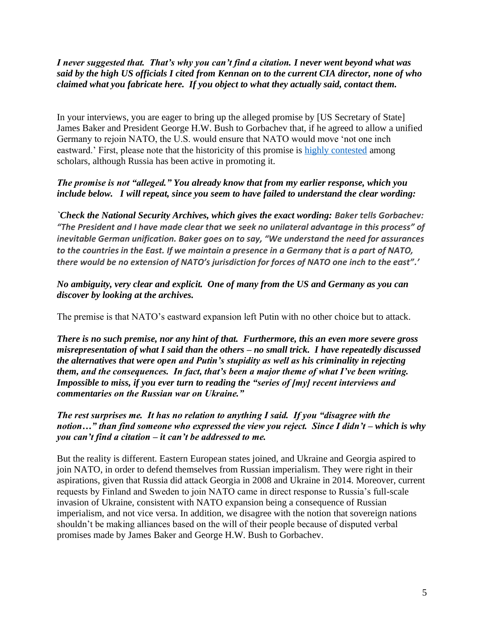## *I never suggested that. That's why you can't find a citation. I never went beyond what was said by the high US officials I cited from Kennan on to the current CIA director, none of who claimed what you fabricate here. If you object to what they actually said, contact them.*

In your interviews, you are eager to bring up the alleged promise by [US Secretary of State] James Baker and President George H.W. Bush to Gorbachev that, if he agreed to allow a unified Germany to rejoin NATO, the U.S. would ensure that NATO would move 'not one inch eastward.' First, please note that the historicity of this promise is [highly contested](https://doi.org/10.1080/01636600902773248) among scholars, although Russia has been active in promoting it.

## *The promise is not "alleged." You already know that from my earlier response, which you include below. I will repeat, since you seem to have failed to understand the clear wording:*

*`Check the National Security Archives, which gives the exact wording: Baker tells Gorbachev: "The President and I have made clear that we seek no unilateral advantage in this process" of inevitable German unification. Baker goes on to say, "We understand the need for assurances to the countries in the East. If we maintain a presence in a Germany that is a part of NATO, there would be no extension of NATO's jurisdiction for forces of NATO one inch to the east".'*

### *No ambiguity, very clear and explicit. One of many from the US and Germany as you can discover by looking at the archives.*

The premise is that NATO's eastward expansion left Putin with no other choice but to attack.

*There is no such premise, nor any hint of that. Furthermore, this an even more severe gross misrepresentation of what I said than the others – no small trick. I have repeatedly discussed the alternatives that were open and Putin's stupidity as well as his criminality in rejecting them, and the consequences. In fact, that's been a major theme of what I've been writing. Impossible to miss, if you ever turn to reading the "series of [my] recent interviews and commentaries on the Russian war on Ukraine."*

## *The rest surprises me. It has no relation to anything I said. If you "disagree with the notion…" than find someone who expressed the view you reject. Since I didn't – which is why you can't find a citation – it can't be addressed to me.*

But the reality is different. Eastern European states joined, and Ukraine and Georgia aspired to join NATO, in order to defend themselves from Russian imperialism. They were right in their aspirations, given that Russia did attack Georgia in 2008 and Ukraine in 2014. Moreover, current requests by Finland and Sweden to join NATO came in direct response to Russia's full-scale invasion of Ukraine, consistent with NATO expansion being a consequence of Russian imperialism, and not vice versa. In addition, we disagree with the notion that sovereign nations shouldn't be making alliances based on the will of their people because of disputed verbal promises made by James Baker and George H.W. Bush to Gorbachev.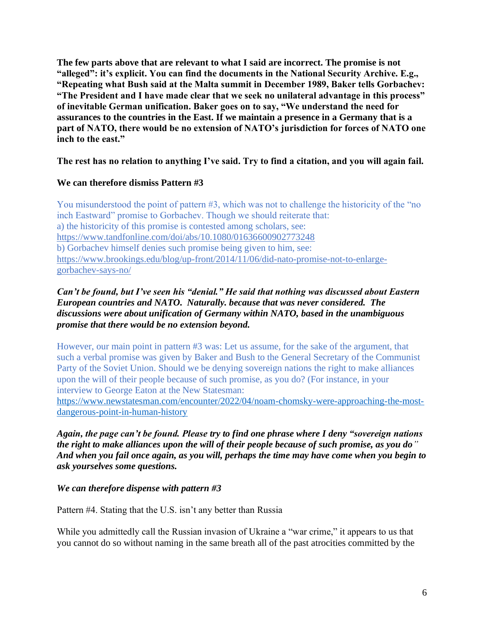**The few parts above that are relevant to what I said are incorrect. The promise is not "alleged": it's explicit. You can find the documents in the National Security Archive. E.g., "Repeating what Bush said at the Malta summit in December 1989, Baker tells Gorbachev: "The President and I have made clear that we seek no unilateral advantage in this process" of inevitable German unification. Baker goes on to say, "We understand the need for assurances to the countries in the East. If we maintain a presence in a Germany that is a part of NATO, there would be no extension of NATO's jurisdiction for forces of NATO one inch to the east."** 

**The rest has no relation to anything I've said. Try to find a citation, and you will again fail.** 

## **We can therefore dismiss Pattern #3**

You misunderstood the point of pattern #3, which was not to challenge the historicity of the "no" inch Eastward" promise to Gorbachev. Though we should reiterate that: a) the historicity of this promise is contested among scholars, see: <https://www.tandfonline.com/doi/abs/10.1080/01636600902773248> b) Gorbachev himself denies such promise being given to him, see: [https://www.brookings.edu/blog/up-front/2014/11/06/did-nato-promise-not-to-enlarge](https://www.brookings.edu/blog/up-front/2014/11/06/did-nato-promise-not-to-enlarge-gorbachev-says-no/)[gorbachev-says-no/](https://www.brookings.edu/blog/up-front/2014/11/06/did-nato-promise-not-to-enlarge-gorbachev-says-no/)

## *Can't be found, but I've seen his "denial." He said that nothing was discussed about Eastern European countries and NATO. Naturally. because that was never considered. The discussions were about unification of Germany within NATO, based in the unambiguous promise that there would be no extension beyond.*

However, our main point in pattern #3 was: Let us assume, for the sake of the argument, that such a verbal promise was given by Baker and Bush to the General Secretary of the Communist Party of the Soviet Union. Should we be denying sovereign nations the right to make alliances upon the will of their people because of such promise, as you do? (For instance, in your interview to George Eaton at the New Statesman:

[https://www.newstatesman.com/encounter/2022/04/noam-chomsky-were-approaching-the-most](https://www.newstatesman.com/encounter/2022/04/noam-chomsky-were-approaching-the-most-dangerous-point-in-human-history)[dangerous-point-in-human-history](https://www.newstatesman.com/encounter/2022/04/noam-chomsky-were-approaching-the-most-dangerous-point-in-human-history)

*Again, the page can't be found. Please try to find one phrase where I deny "sovereign nations the right to make alliances upon the will of their people because of such promise, as you do" And when you fail once again, as you will, perhaps the time may have come when you begin to ask yourselves some questions.*

*We can therefore dispense with pattern #3*

Pattern #4. Stating that the U.S. isn't any better than Russia

While you admittedly call the Russian invasion of Ukraine a "war crime," it appears to us that you cannot do so without naming in the same breath all of the past atrocities committed by the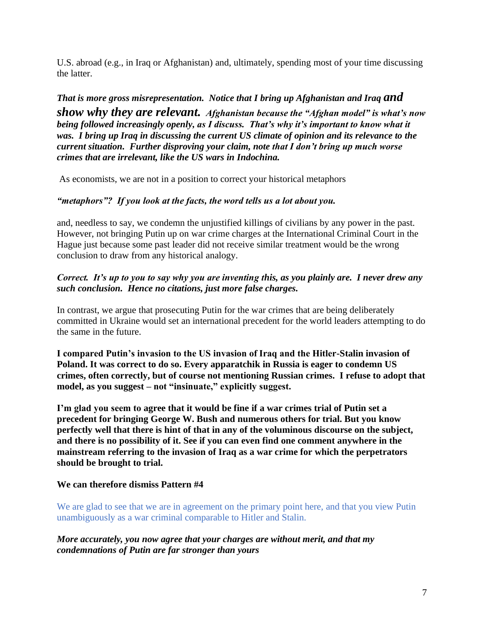U.S. abroad (e.g., in Iraq or Afghanistan) and, ultimately, spending most of your time discussing the latter.

*That is more gross misrepresentation. Notice that I bring up Afghanistan and Iraq and show why they are relevant. Afghanistan because the "Afghan model" is what's now being followed increasingly openly, as I discuss. That's why it's important to know what it was. I bring up Iraq in discussing the current US climate of opinion and its relevance to the current situation. Further disproving your claim, note that I don't bring up much worse crimes that are irrelevant, like the US wars in Indochina.*

As economists, we are not in a position to correct your historical metaphors

## *"metaphors"? If you look at the facts, the word tells us a lot about you.*

and, needless to say, we condemn the unjustified killings of civilians by any power in the past. However, not bringing Putin up on war crime charges at the International Criminal Court in the Hague just because some past leader did not receive similar treatment would be the wrong conclusion to draw from any historical analogy.

### *Correct. It's up to you to say why you are inventing this, as you plainly are. I never drew any such conclusion. Hence no citations, just more false charges.*

In contrast, we argue that prosecuting Putin for the war crimes that are being deliberately committed in Ukraine would set an international precedent for the world leaders attempting to do the same in the future.

**I compared Putin's invasion to the US invasion of Iraq and the Hitler-Stalin invasion of Poland. It was correct to do so. Every apparatchik in Russia is eager to condemn US crimes, often correctly, but of course not mentioning Russian crimes. I refuse to adopt that model, as you suggest – not "insinuate," explicitly suggest.** 

**I'm glad you seem to agree that it would be fine if a war crimes trial of Putin set a precedent for bringing George W. Bush and numerous others for trial. But you know perfectly well that there is hint of that in any of the voluminous discourse on the subject, and there is no possibility of it. See if you can even find one comment anywhere in the mainstream referring to the invasion of Iraq as a war crime for which the perpetrators should be brought to trial.** 

## **We can therefore dismiss Pattern #4**

We are glad to see that we are in agreement on the primary point here, and that you view Putin unambiguously as a war criminal comparable to Hitler and Stalin.

#### *More accurately, you now agree that your charges are without merit, and that my condemnations of Putin are far stronger than yours*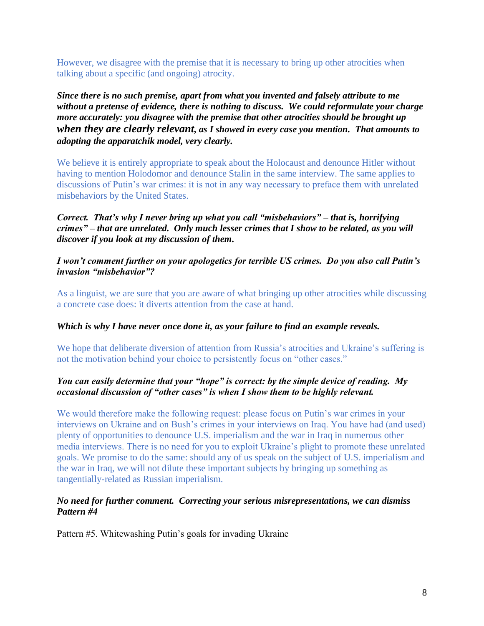However, we disagree with the premise that it is necessary to bring up other atrocities when talking about a specific (and ongoing) atrocity.

*Since there is no such premise, apart from what you invented and falsely attribute to me without a pretense of evidence, there is nothing to discuss. We could reformulate your charge more accurately: you disagree with the premise that other atrocities should be brought up when they are clearly relevant, as I showed in every case you mention. That amounts to adopting the apparatchik model, very clearly.*

We believe it is entirely appropriate to speak about the Holocaust and denounce Hitler without having to mention Holodomor and denounce Stalin in the same interview. The same applies to discussions of Putin's war crimes: it is not in any way necessary to preface them with unrelated misbehaviors by the United States.

*Correct. That's why I never bring up what you call "misbehaviors" – that is, horrifying crimes" – that are unrelated. Only much lesser crimes that I show to be related, as you will discover if you look at my discussion of them.*

#### *I won't comment further on your apologetics for terrible US crimes. Do you also call Putin's invasion "misbehavior"?*

As a linguist, we are sure that you are aware of what bringing up other atrocities while discussing a concrete case does: it diverts attention from the case at hand.

## *Which is why I have never once done it, as your failure to find an example reveals.*

We hope that deliberate diversion of attention from Russia's atrocities and Ukraine's suffering is not the motivation behind your choice to persistently focus on "other cases."

## *You can easily determine that your "hope" is correct: by the simple device of reading. My occasional discussion of "other cases" is when I show them to be highly relevant.*

We would therefore make the following request: please focus on Putin's war crimes in your interviews on Ukraine and on Bush's crimes in your interviews on Iraq. You have had (and used) plenty of opportunities to denounce U.S. imperialism and the war in Iraq in numerous other media interviews. There is no need for you to exploit Ukraine's plight to promote these unrelated goals. We promise to do the same: should any of us speak on the subject of U.S. imperialism and the war in Iraq, we will not dilute these important subjects by bringing up something as tangentially-related as Russian imperialism.

#### *No need for further comment. Correcting your serious misrepresentations, we can dismiss Pattern #4*

Pattern #5. Whitewashing Putin's goals for invading Ukraine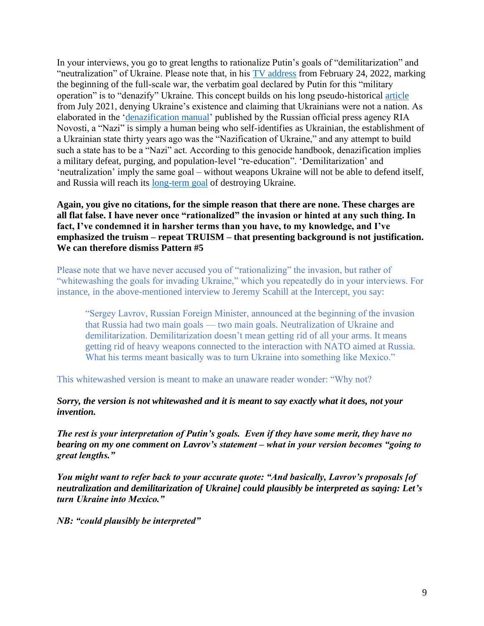In your interviews, you go to great lengths to rationalize Putin's goals of "demilitarization" and "neutralization" of Ukraine. Please note that, in his [TV address](https://www.bloomberg.com/news/articles/2022-02-24/full-transcript-vladimir-putin-s-televised-address-to-russia-on-ukraine-feb-24) from February 24, 2022, marking the beginning of the full-scale war, the verbatim goal declared by Putin for this "military operation" is to "denazify" Ukraine. This concept builds on his long pseudo-historical [article](https://voxukraine.org/en/on-the-historical-unity-of-lies-and-vladimir-putin/) from July 2021, denying Ukraine's existence and claiming that Ukrainians were not a nation. As elaborated in the ['denazification manual'](https://ccl.org.ua/en/news/ria-novosti-has-clarified-russias-plans-vis-a-vis-ukraine-and-the-rest-of-the-free-world-in-a-program-like-article-what-russia-should-do-with-ukraine-2/) published by the Russian official press agency RIA Novosti, a "Nazi" is simply a human being who self-identifies as Ukrainian, the establishment of a Ukrainian state thirty years ago was the "Nazification of Ukraine," and any attempt to build such a state has to be a "Nazi" act. According to this genocide handbook, denazification implies a military defeat, purging, and population-level "re-education". 'Demilitarization' and 'neutralization' imply the same goal – without weapons Ukraine will not be able to defend itself, and Russia will reach its [long-term goal](https://www.washingtonpost.com/opinions/2022/03/23/putin-genocide-language-ukraine-wipe-out-state-identity/) of destroying Ukraine.

### **Again, you give no citations, for the simple reason that there are none. These charges are all flat false. I have never once "rationalized" the invasion or hinted at any such thing. In fact, I've condemned it in harsher terms than you have, to my knowledge, and I've emphasized the truism – repeat TRUISM – that presenting background is not justification. We can therefore dismiss Pattern #5**

Please note that we have never accused you of "rationalizing" the invasion, but rather of "whitewashing the goals for invading Ukraine," which you repeatedly do in your interviews. For instance, in the above-mentioned interview to Jeremy Scahill at the Intercept, you say:

"Sergey Lavrov, Russian Foreign Minister, announced at the beginning of the invasion that Russia had two main goals — two main goals. Neutralization of Ukraine and demilitarization. Demilitarization doesn't mean getting rid of all your arms. It means getting rid of heavy weapons connected to the interaction with NATO aimed at Russia. What his terms meant basically was to turn Ukraine into something like Mexico."

This whitewashed version is meant to make an unaware reader wonder: "Why not?

#### *Sorry, the version is not whitewashed and it is meant to say exactly what it does, not your invention.*

*The rest is your interpretation of Putin's goals. Even if they have some merit, they have no bearing on my one comment on Lavrov's statement – what in your version becomes "going to great lengths."*

*You might want to refer back to your accurate quote: "And basically, Lavrov's proposals [of neutralization and demilitarization of Ukraine] could plausibly be interpreted as saying: Let's turn Ukraine into Mexico."*

*NB: "could plausibly be interpreted"*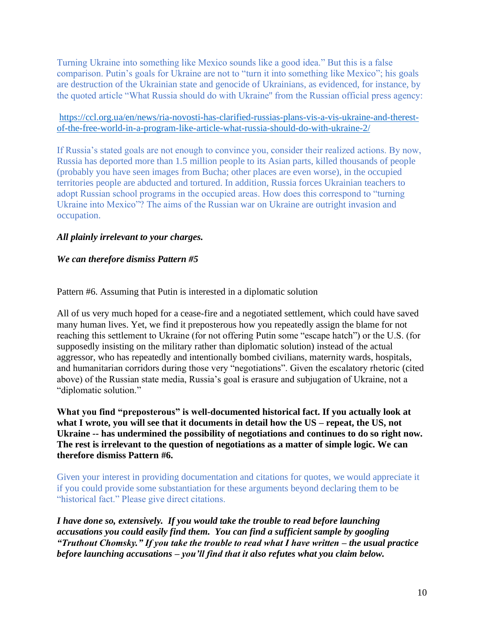Turning Ukraine into something like Mexico sounds like a good idea." But this is a false comparison. Putin's goals for Ukraine are not to "turn it into something like Mexico"; his goals are destruction of the Ukrainian state and genocide of Ukrainians, as evidenced, for instance, by the quoted article "What Russia should do with Ukraine'' from the Russian official press agency:

#### [https://ccl.org.ua/en/news/ria-novosti-has-clarified-russias-plans-vis-a-vis-ukraine-and-therest](https://ccl.org.ua/en/news/ria-novosti-has-clarified-russias-plans-vis-a-vis-ukraine-and-therest-of-the-free-world-in-a-program-like-article-what-russia-should-do-with-ukraine-2/)[of-the-free-world-in-a-program-like-article-what-russia-should-do-with-ukraine-2/](https://ccl.org.ua/en/news/ria-novosti-has-clarified-russias-plans-vis-a-vis-ukraine-and-therest-of-the-free-world-in-a-program-like-article-what-russia-should-do-with-ukraine-2/)

If Russia's stated goals are not enough to convince you, consider their realized actions. By now, Russia has deported more than 1.5 million people to its Asian parts, killed thousands of people (probably you have seen images from Bucha; other places are even worse), in the occupied territories people are abducted and tortured. In addition, Russia forces Ukrainian teachers to adopt Russian school programs in the occupied areas. How does this correspond to "turning Ukraine into Mexico"? The aims of the Russian war on Ukraine are outright invasion and occupation.

# *All plainly irrelevant to your charges.*

## *We can therefore dismiss Pattern #5*

Pattern #6. Assuming that Putin is interested in a diplomatic solution

All of us very much hoped for a cease-fire and a negotiated settlement, which could have saved many human lives. Yet, we find it preposterous how you repeatedly assign the blame for not reaching this settlement to Ukraine (for not offering Putin some "escape hatch") or the U.S. (for supposedly insisting on the military rather than diplomatic solution) instead of the actual aggressor, who has repeatedly and intentionally bombed civilians, maternity wards, hospitals, and humanitarian corridors during those very "negotiations". Given the escalatory rhetoric (cited above) of the Russian state media, Russia's goal is erasure and subjugation of Ukraine, not a "diplomatic solution."

**What you find "preposterous" is well-documented historical fact. If you actually look at what I wrote, you will see that it documents in detail how the US – repeat, the US, not Ukraine -- has undermined the possibility of negotiations and continues to do so right now. The rest is irrelevant to the question of negotiations as a matter of simple logic. We can therefore dismiss Pattern #6.** 

Given your interest in providing documentation and citations for quotes, we would appreciate it if you could provide some substantiation for these arguments beyond declaring them to be "historical fact." Please give direct citations.

*I have done so, extensively. If you would take the trouble to read before launching accusations you could easily find them. You can find a sufficient sample by googling "Truthout Chomsky." If you take the trouble to read what I have written – the usual practice before launching accusations – you'll find that it also refutes what you claim below.*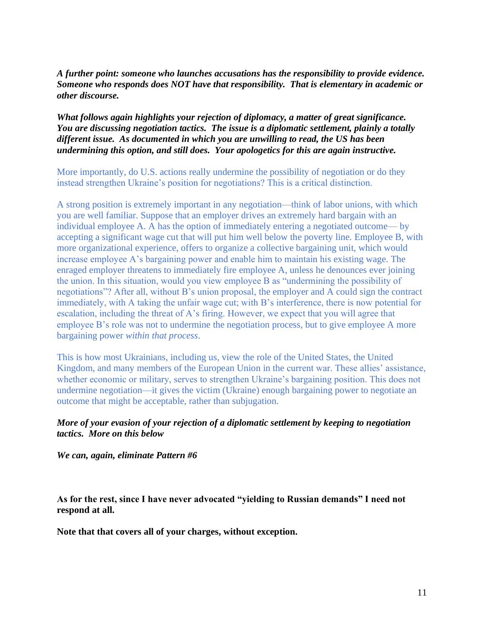*A further point: someone who launches accusations has the responsibility to provide evidence. Someone who responds does NOT have that responsibility. That is elementary in academic or other discourse.*

### *What follows again highlights your rejection of diplomacy, a matter of great significance. You are discussing negotiation tactics. The issue is a diplomatic settlement, plainly a totally different issue. As documented in which you are unwilling to read, the US has been undermining this option, and still does. Your apologetics for this are again instructive.*

More importantly, do U.S. actions really undermine the possibility of negotiation or do they instead strengthen Ukraine's position for negotiations? This is a critical distinction.

A strong position is extremely important in any negotiation—think of labor unions, with which you are well familiar. Suppose that an employer drives an extremely hard bargain with an individual employee A. A has the option of immediately entering a negotiated outcome— by accepting a significant wage cut that will put him well below the poverty line. Employee B, with more organizational experience, offers to organize a collective bargaining unit, which would increase employee A's bargaining power and enable him to maintain his existing wage. The enraged employer threatens to immediately fire employee A, unless he denounces ever joining the union. In this situation, would you view employee B as "undermining the possibility of negotiations"? After all, without B's union proposal, the employer and A could sign the contract immediately, with A taking the unfair wage cut; with B's interference, there is now potential for escalation, including the threat of A's firing. However, we expect that you will agree that employee B's role was not to undermine the negotiation process, but to give employee A more bargaining power *within that process*.

This is how most Ukrainians, including us, view the role of the United States, the United Kingdom, and many members of the European Union in the current war. These allies' assistance, whether economic or military, serves to strengthen Ukraine's bargaining position. This does not undermine negotiation—it gives the victim (Ukraine) enough bargaining power to negotiate an outcome that might be acceptable, rather than subjugation.

## *More of your evasion of your rejection of a diplomatic settlement by keeping to negotiation tactics. More on this below*

*We can, again, eliminate Pattern #6*

**As for the rest, since I have never advocated "yielding to Russian demands" I need not respond at all.** 

**Note that that covers all of your charges, without exception.**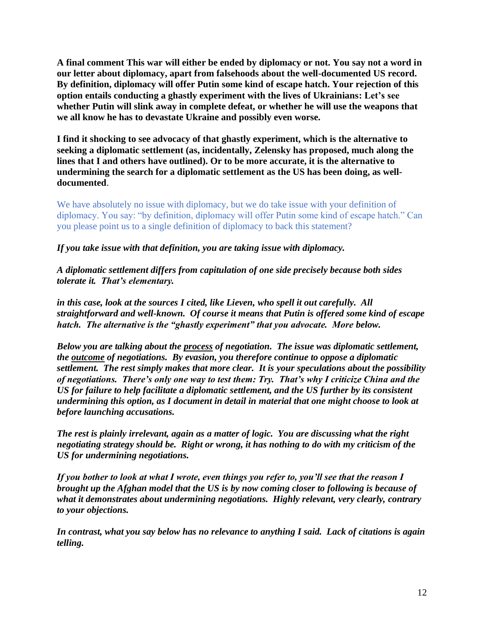**A final comment This war will either be ended by diplomacy or not. You say not a word in our letter about diplomacy, apart from falsehoods about the well-documented US record. By definition, diplomacy will offer Putin some kind of escape hatch. Your rejection of this option entails conducting a ghastly experiment with the lives of Ukrainians: Let's see whether Putin will slink away in complete defeat, or whether he will use the weapons that we all know he has to devastate Ukraine and possibly even worse.** 

**I find it shocking to see advocacy of that ghastly experiment, which is the alternative to seeking a diplomatic settlement (as, incidentally, Zelensky has proposed, much along the lines that I and others have outlined). Or to be more accurate, it is the alternative to undermining the search for a diplomatic settlement as the US has been doing, as welldocumented**.

We have absolutely no issue with diplomacy, but we do take issue with your definition of diplomacy. You say: "by definition, diplomacy will offer Putin some kind of escape hatch." Can you please point us to a single definition of diplomacy to back this statement?

*If you take issue with that definition, you are taking issue with diplomacy.*

*A diplomatic settlement differs from capitulation of one side precisely because both sides tolerate it. That's elementary.*

*in this case, look at the sources I cited, like Lieven, who spell it out carefully. All straightforward and well-known. Of course it means that Putin is offered some kind of escape hatch. The alternative is the "ghastly experiment" that you advocate. More below.*

*Below you are talking about the process of negotiation. The issue was diplomatic settlement, the outcome of negotiations. By evasion, you therefore continue to oppose a diplomatic settlement. The rest simply makes that more clear. It is your speculations about the possibility of negotiations. There's only one way to test them: Try. That's why I criticize China and the US for failure to help facilitate a diplomatic settlement, and the US further by its consistent undermining this option, as I document in detail in material that one might choose to look at before launching accusations.*

*The rest is plainly irrelevant, again as a matter of logic. You are discussing what the right negotiating strategy should be. Right or wrong, it has nothing to do with my criticism of the US for undermining negotiations.*

*If you bother to look at what I wrote, even things you refer to, you'll see that the reason I brought up the Afghan model that the US is by now coming closer to following is because of what it demonstrates about undermining negotiations. Highly relevant, very clearly, contrary to your objections.*

*In contrast, what you say below has no relevance to anything I said. Lack of citations is again telling.*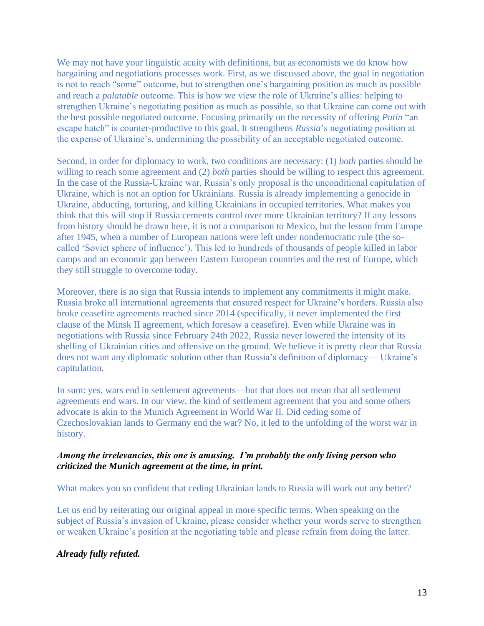We may not have your linguistic acuity with definitions, but as economists we do know how bargaining and negotiations processes work. First, as we discussed above, the goal in negotiation is not to reach "some" outcome, but to strengthen one's bargaining position as much as possible and reach a *palatable* outcome. This is how we view the role of Ukraine's allies: helping to strengthen Ukraine's negotiating position as much as possible, so that Ukraine can come out with the best possible negotiated outcome. Focusing primarily on the necessity of offering *Putin* "an escape hatch" is counter-productive to this goal. It strengthens *Russia*'s negotiating position at the expense of Ukraine's, undermining the possibility of an acceptable negotiated outcome.

Second, in order for diplomacy to work, two conditions are necessary: (1) *both* parties should be willing to reach some agreement and (2) *both* parties should be willing to respect this agreement. In the case of the Russia-Ukraine war, Russia's only proposal is the unconditional capitulation of Ukraine, which is not an option for Ukrainians. Russia is already implementing a genocide in Ukraine, abducting, torturing, and killing Ukrainians in occupied territories. What makes you think that this will stop if Russia cements control over more Ukrainian territory? If any lessons from history should be drawn here, it is not a comparison to Mexico, but the lesson from Europe after 1945, when a number of European nations were left under nondemocratic rule (the socalled 'Soviet sphere of influence'). This led to hundreds of thousands of people killed in labor camps and an economic gap between Eastern European countries and the rest of Europe, which they still struggle to overcome today.

Moreover, there is no sign that Russia intends to implement any commitments it might make. Russia broke all international agreements that ensured respect for Ukraine's borders. Russia also broke ceasefire agreements reached since 2014 (specifically, it never implemented the first clause of the Minsk II agreement, which foresaw a ceasefire). Even while Ukraine was in negotiations with Russia since February 24th 2022, Russia never lowered the intensity of its shelling of Ukrainian cities and offensive on the ground. We believe it is pretty clear that Russia does not want any diplomatic solution other than Russia's definition of diplomacy— Ukraine's capitulation.

In sum: yes, wars end in settlement agreements—but that does not mean that all settlement agreements end wars. In our view, the kind of settlement agreement that you and some others advocate is akin to the Munich Agreement in World War II. Did ceding some of Czechoslovakian lands to Germany end the war? No, it led to the unfolding of the worst war in history.

#### *Among the irrelevancies, this one is amusing. I'm probably the only living person who criticized the Munich agreement at the time, in print.*

What makes you so confident that ceding Ukrainian lands to Russia will work out any better?

Let us end by reiterating our original appeal in more specific terms. When speaking on the subject of Russia's invasion of Ukraine, please consider whether your words serve to strengthen or weaken Ukraine's position at the negotiating table and please refrain from doing the latter.

## *Already fully refuted.*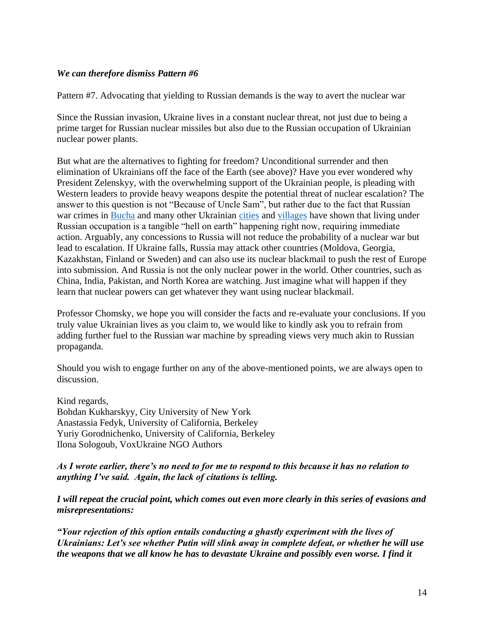#### *We can therefore dismiss Pattern #6*

Pattern #7. Advocating that yielding to Russian demands is the way to avert the nuclear war

Since the Russian invasion, Ukraine lives in a constant nuclear threat, not just due to being a prime target for Russian nuclear missiles but also due to the Russian occupation of Ukrainian nuclear power plants.

But what are the alternatives to fighting for freedom? Unconditional surrender and then elimination of Ukrainians off the face of the Earth (see above)? Have you ever wondered why President Zelenskyy, with the overwhelming support of the Ukrainian people, is pleading with Western leaders to provide heavy weapons despite the potential threat of nuclear escalation? The answer to this question is not "Because of Uncle Sam", but rather due to the fact that Russian war crimes in [Bucha](https://www.hrw.org/news/2022/04/21/ukraine-russian-forces-trail-death-bucha) and many other Ukrainian [cities](https://en.wikipedia.org/wiki/War_crimes_in_the_2022_Russian_invasion_of_Ukraine#:~:text=During%20the%202022%20Russian%20invasion,in%20violation%20of%20international%20law.) and [villages](https://www.hrw.org/news/2022/04/03/ukraine-apparent-war-crimes-russia-controlled-areas) have shown that living under Russian occupation is a tangible "hell on earth" happening right now, requiring immediate action. Arguably, any concessions to Russia will not reduce the probability of a nuclear war but lead to escalation. If Ukraine falls, Russia may attack other countries (Moldova, Georgia, Kazakhstan, Finland or Sweden) and can also use its nuclear blackmail to push the rest of Europe into submission. And Russia is not the only nuclear power in the world. Other countries, such as China, India, Pakistan, and North Korea are watching. Just imagine what will happen if they learn that nuclear powers can get whatever they want using nuclear blackmail.

Professor Chomsky, we hope you will consider the facts and re-evaluate your conclusions. If you truly value Ukrainian lives as you claim to, we would like to kindly ask you to refrain from adding further fuel to the Russian war machine by spreading views very much akin to Russian propaganda.

Should you wish to engage further on any of the above-mentioned points, we are always open to discussion.

Kind regards, Bohdan Kukharskyy, City University of New York Anastassia Fedyk, University of California, Berkeley Yuriy Gorodnichenko, University of California, Berkeley Ilona Sologoub, VoxUkraine NGO Authors

#### *As I wrote earlier, there's no need to for me to respond to this because it has no relation to anything I've said. Again, the lack of citations is telling.*

*I will repeat the crucial point, which comes out even more clearly in this series of evasions and misrepresentations:*

*"Your rejection of this option entails conducting a ghastly experiment with the lives of Ukrainians: Let's see whether Putin will slink away in complete defeat, or whether he will use the weapons that we all know he has to devastate Ukraine and possibly even worse. I find it*